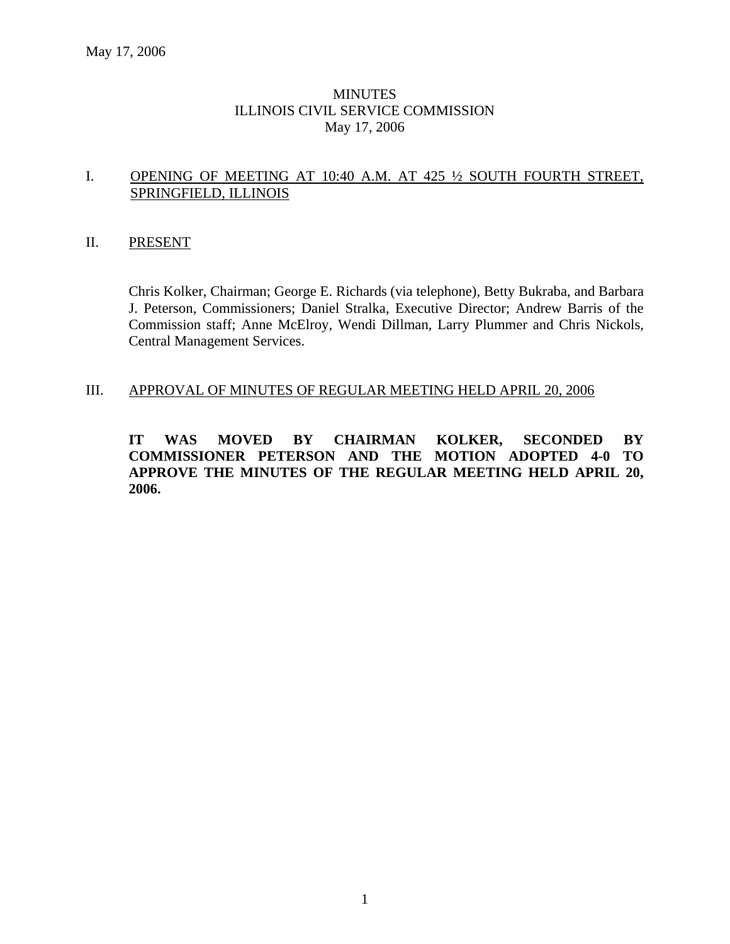### **MINUTES** ILLINOIS CIVIL SERVICE COMMISSION May 17, 2006

### I. OPENING OF MEETING AT 10:40 A.M. AT 425 ½ SOUTH FOURTH STREET, SPRINGFIELD, ILLINOIS

### II. PRESENT

Chris Kolker, Chairman; George E. Richards (via telephone), Betty Bukraba, and Barbara J. Peterson, Commissioners; Daniel Stralka, Executive Director; Andrew Barris of the Commission staff; Anne McElroy, Wendi Dillman, Larry Plummer and Chris Nickols, Central Management Services.

#### III. APPROVAL OF MINUTES OF REGULAR MEETING HELD APRIL 20, 2006

**IT WAS MOVED BY CHAIRMAN KOLKER, SECONDED BY COMMISSIONER PETERSON AND THE MOTION ADOPTED 4-0 TO APPROVE THE MINUTES OF THE REGULAR MEETING HELD APRIL 20, 2006.**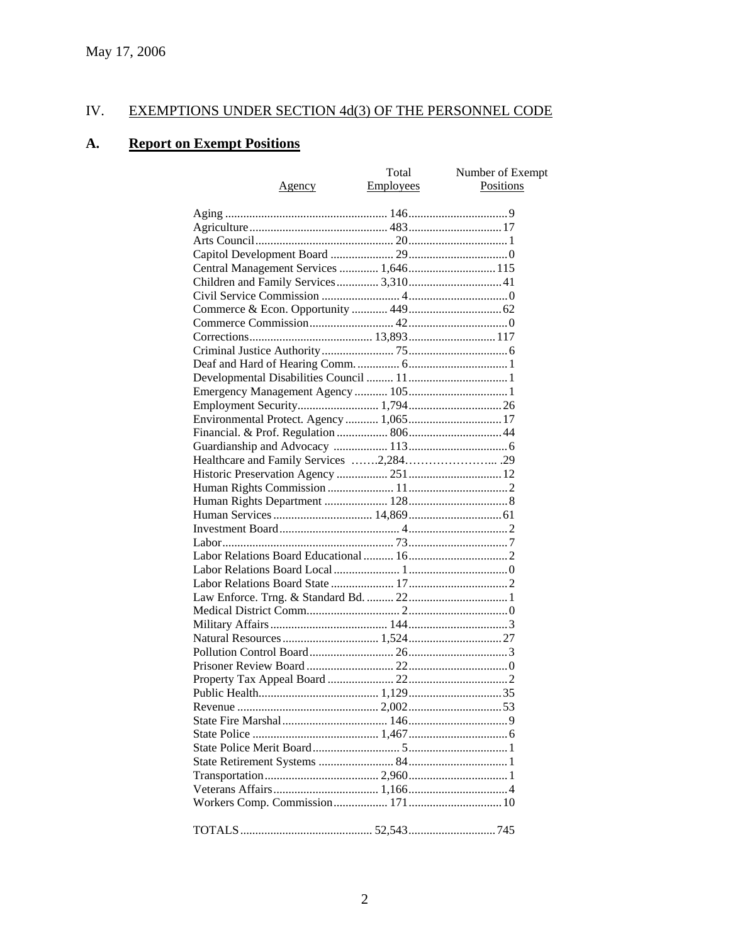# IV. EXEMPTIONS UNDER SECTION 4d(3) OF THE PERSONNEL CODE

## **A. Report on Exempt Positions**

|                                         | Total            | Number of Exempt |
|-----------------------------------------|------------------|------------------|
| Agency                                  | <b>Employees</b> | Positions        |
|                                         |                  |                  |
|                                         |                  |                  |
|                                         |                  |                  |
|                                         |                  |                  |
|                                         |                  |                  |
| Central Management Services  1,646 115  |                  |                  |
| Children and Family Services 3,310 41   |                  |                  |
|                                         |                  |                  |
|                                         |                  |                  |
|                                         |                  |                  |
|                                         |                  |                  |
|                                         |                  |                  |
|                                         |                  |                  |
|                                         |                  |                  |
|                                         |                  |                  |
|                                         |                  |                  |
| Environmental Protect. Agency  1,065 17 |                  |                  |
|                                         |                  |                  |
|                                         |                  |                  |
|                                         |                  |                  |
|                                         |                  |                  |
|                                         |                  |                  |
|                                         |                  |                  |
|                                         |                  |                  |
|                                         |                  |                  |
|                                         |                  |                  |
|                                         |                  |                  |
|                                         |                  |                  |
|                                         |                  |                  |
|                                         |                  |                  |
|                                         |                  |                  |
|                                         |                  |                  |
|                                         |                  |                  |
|                                         |                  |                  |
|                                         |                  |                  |
|                                         |                  |                  |
|                                         |                  |                  |
|                                         |                  |                  |
|                                         |                  |                  |
|                                         |                  |                  |
|                                         |                  |                  |
|                                         |                  |                  |
|                                         |                  |                  |
|                                         |                  |                  |
|                                         |                  |                  |
|                                         |                  |                  |
|                                         |                  |                  |
|                                         |                  |                  |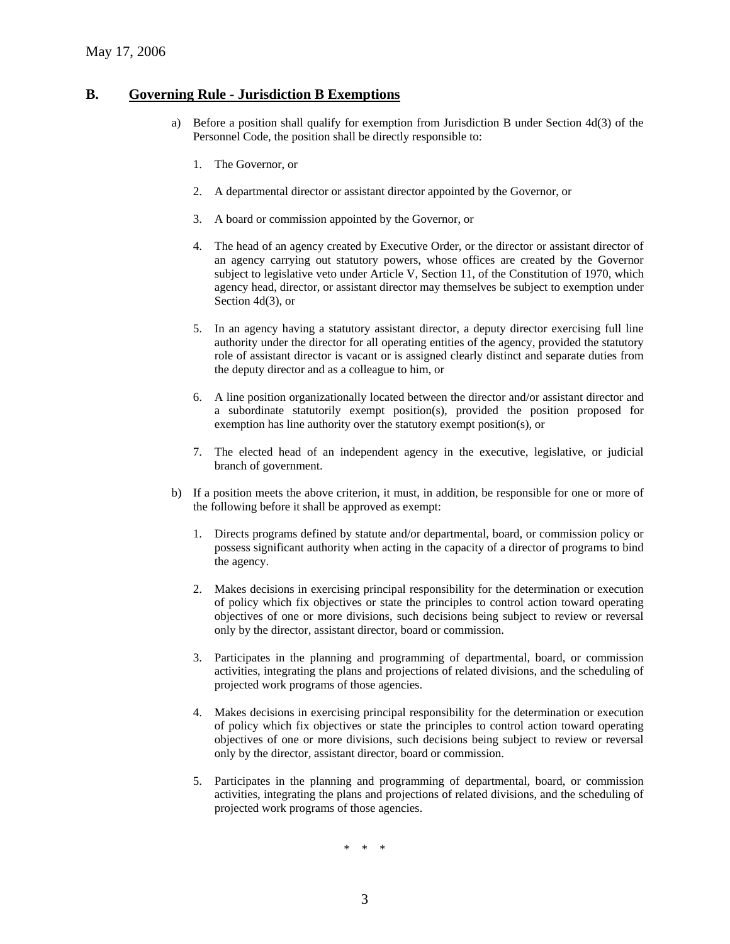#### **B. Governing Rule - Jurisdiction B Exemptions**

- a) Before a position shall qualify for exemption from Jurisdiction B under Section 4d(3) of the Personnel Code, the position shall be directly responsible to:
	- 1. The Governor, or
	- 2. A departmental director or assistant director appointed by the Governor, or
	- 3. A board or commission appointed by the Governor, or
	- 4. The head of an agency created by Executive Order, or the director or assistant director of an agency carrying out statutory powers, whose offices are created by the Governor subject to legislative veto under Article V, Section 11, of the Constitution of 1970, which agency head, director, or assistant director may themselves be subject to exemption under Section 4d(3), or
	- 5. In an agency having a statutory assistant director, a deputy director exercising full line authority under the director for all operating entities of the agency, provided the statutory role of assistant director is vacant or is assigned clearly distinct and separate duties from the deputy director and as a colleague to him, or
	- 6. A line position organizationally located between the director and/or assistant director and a subordinate statutorily exempt position(s), provided the position proposed for exemption has line authority over the statutory exempt position(s), or
	- 7. The elected head of an independent agency in the executive, legislative, or judicial branch of government.
- b) If a position meets the above criterion, it must, in addition, be responsible for one or more of the following before it shall be approved as exempt:
	- 1. Directs programs defined by statute and/or departmental, board, or commission policy or possess significant authority when acting in the capacity of a director of programs to bind the agency.
	- 2. Makes decisions in exercising principal responsibility for the determination or execution of policy which fix objectives or state the principles to control action toward operating objectives of one or more divisions, such decisions being subject to review or reversal only by the director, assistant director, board or commission.
	- 3. Participates in the planning and programming of departmental, board, or commission activities, integrating the plans and projections of related divisions, and the scheduling of projected work programs of those agencies.
	- 4. Makes decisions in exercising principal responsibility for the determination or execution of policy which fix objectives or state the principles to control action toward operating objectives of one or more divisions, such decisions being subject to review or reversal only by the director, assistant director, board or commission.
	- 5. Participates in the planning and programming of departmental, board, or commission activities, integrating the plans and projections of related divisions, and the scheduling of projected work programs of those agencies.

\* \* \*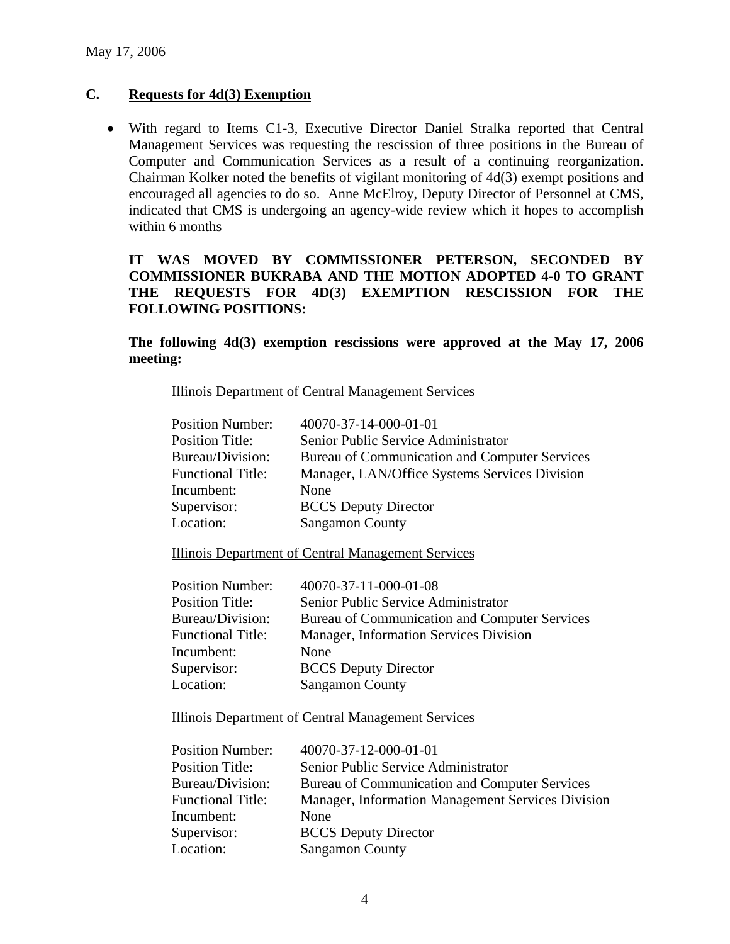### **C. Requests for 4d(3) Exemption**

• With regard to Items C1-3, Executive Director Daniel Stralka reported that Central Management Services was requesting the rescission of three positions in the Bureau of Computer and Communication Services as a result of a continuing reorganization. Chairman Kolker noted the benefits of vigilant monitoring of 4d(3) exempt positions and encouraged all agencies to do so. Anne McElroy, Deputy Director of Personnel at CMS, indicated that CMS is undergoing an agency-wide review which it hopes to accomplish within 6 months

### **IT WAS MOVED BY COMMISSIONER PETERSON, SECONDED BY COMMISSIONER BUKRABA AND THE MOTION ADOPTED 4-0 TO GRANT THE REQUESTS FOR 4D(3) EXEMPTION RESCISSION FOR THE FOLLOWING POSITIONS:**

**The following 4d(3) exemption rescissions were approved at the May 17, 2006 meeting:** 

Illinois Department of Central Management Services

| <b>Position Number:</b>  | 40070-37-14-000-01-01                         |
|--------------------------|-----------------------------------------------|
| <b>Position Title:</b>   | Senior Public Service Administrator           |
| Bureau/Division:         | Bureau of Communication and Computer Services |
| <b>Functional Title:</b> | Manager, LAN/Office Systems Services Division |
| Incumbent:               | None                                          |
| Supervisor:              | <b>BCCS</b> Deputy Director                   |
| Location:                | <b>Sangamon County</b>                        |

Illinois Department of Central Management Services

| <b>Position Number:</b>  | 40070-37-11-000-01-08                         |
|--------------------------|-----------------------------------------------|
| <b>Position Title:</b>   | Senior Public Service Administrator           |
| Bureau/Division:         | Bureau of Communication and Computer Services |
| <b>Functional Title:</b> | Manager, Information Services Division        |
| Incumbent:               | None                                          |
| Supervisor:              | <b>BCCS</b> Deputy Director                   |
| Location:                | <b>Sangamon County</b>                        |

Illinois Department of Central Management Services

|             | <b>Position Number:</b>  | 40070-37-12-000-01-01                             |
|-------------|--------------------------|---------------------------------------------------|
|             | <b>Position Title:</b>   | Senior Public Service Administrator               |
|             | Bureau/Division:         | Bureau of Communication and Computer Services     |
|             | <b>Functional Title:</b> | Manager, Information Management Services Division |
| Incumbent:  |                          | None                                              |
| Supervisor: |                          | <b>BCCS</b> Deputy Director                       |
| Location:   |                          | <b>Sangamon County</b>                            |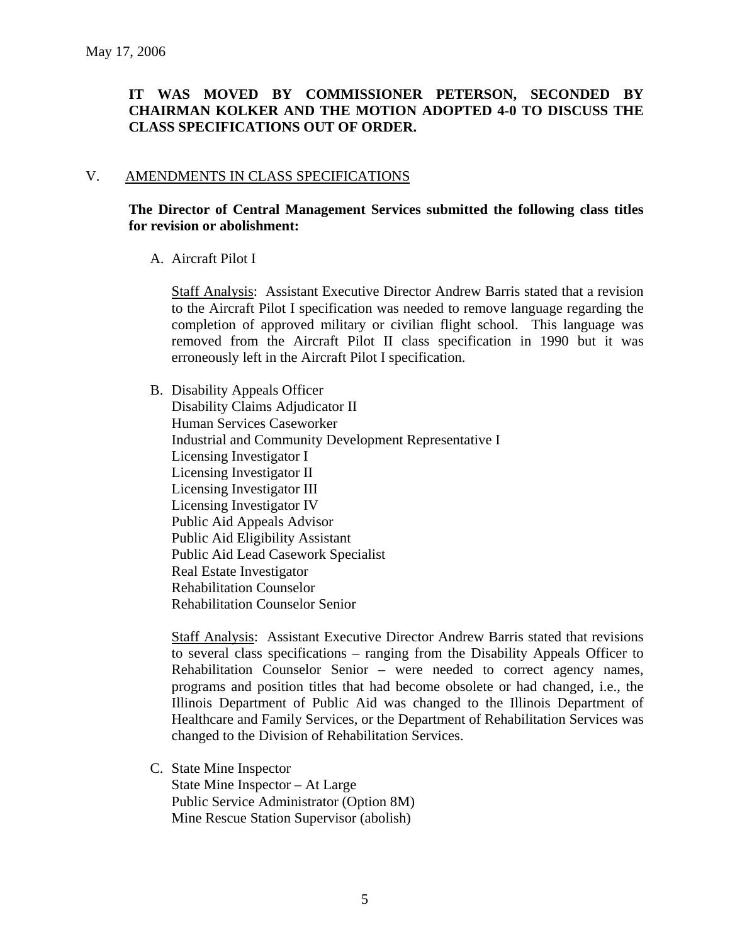### **IT WAS MOVED BY COMMISSIONER PETERSON, SECONDED BY CHAIRMAN KOLKER AND THE MOTION ADOPTED 4-0 TO DISCUSS THE CLASS SPECIFICATIONS OUT OF ORDER.**

### V. AMENDMENTS IN CLASS SPECIFICATIONS

### **The Director of Central Management Services submitted the following class titles for revision or abolishment:**

### A. Aircraft Pilot I

Staff Analysis: Assistant Executive Director Andrew Barris stated that a revision to the Aircraft Pilot I specification was needed to remove language regarding the completion of approved military or civilian flight school. This language was removed from the Aircraft Pilot II class specification in 1990 but it was erroneously left in the Aircraft Pilot I specification.

B. Disability Appeals Officer Disability Claims Adjudicator II Human Services Caseworker Industrial and Community Development Representative I Licensing Investigator I Licensing Investigator II Licensing Investigator III Licensing Investigator IV Public Aid Appeals Advisor Public Aid Eligibility Assistant Public Aid Lead Casework Specialist Real Estate Investigator Rehabilitation Counselor Rehabilitation Counselor Senior

Staff Analysis: Assistant Executive Director Andrew Barris stated that revisions to several class specifications – ranging from the Disability Appeals Officer to Rehabilitation Counselor Senior – were needed to correct agency names, programs and position titles that had become obsolete or had changed, i.e., the Illinois Department of Public Aid was changed to the Illinois Department of Healthcare and Family Services, or the Department of Rehabilitation Services was changed to the Division of Rehabilitation Services.

C. State Mine Inspector

State Mine Inspector – At Large Public Service Administrator (Option 8M) Mine Rescue Station Supervisor (abolish)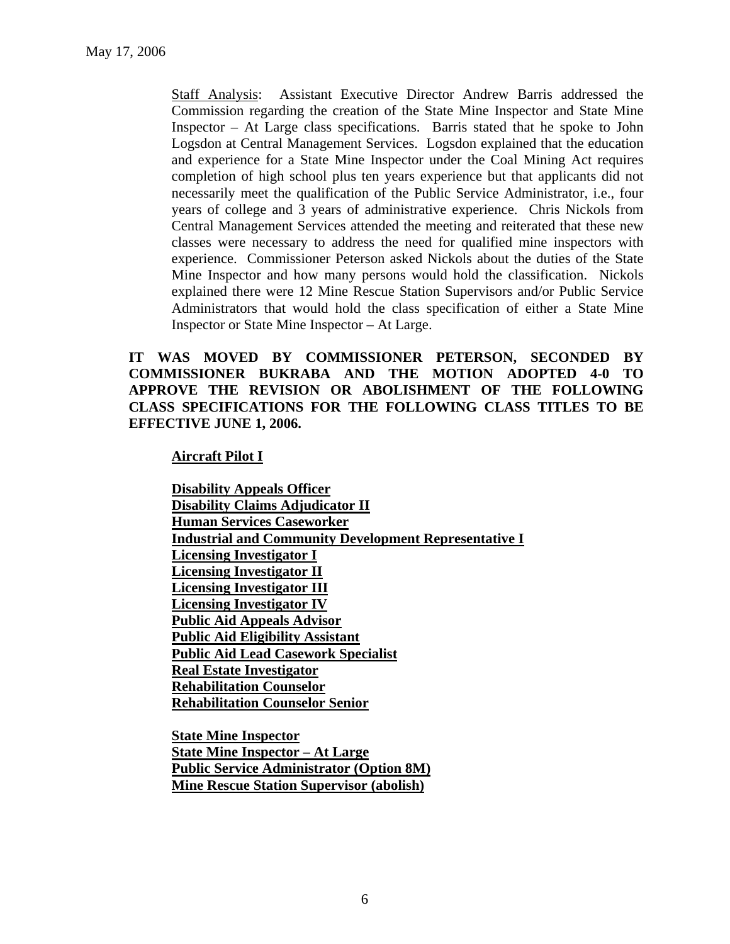Staff Analysis: Assistant Executive Director Andrew Barris addressed the Commission regarding the creation of the State Mine Inspector and State Mine Inspector – At Large class specifications. Barris stated that he spoke to John Logsdon at Central Management Services. Logsdon explained that the education and experience for a State Mine Inspector under the Coal Mining Act requires completion of high school plus ten years experience but that applicants did not necessarily meet the qualification of the Public Service Administrator, i.e., four years of college and 3 years of administrative experience. Chris Nickols from Central Management Services attended the meeting and reiterated that these new classes were necessary to address the need for qualified mine inspectors with experience. Commissioner Peterson asked Nickols about the duties of the State Mine Inspector and how many persons would hold the classification. Nickols explained there were 12 Mine Rescue Station Supervisors and/or Public Service Administrators that would hold the class specification of either a State Mine Inspector or State Mine Inspector – At Large.

### **IT WAS MOVED BY COMMISSIONER PETERSON, SECONDED BY COMMISSIONER BUKRABA AND THE MOTION ADOPTED 4-0 TO APPROVE THE REVISION OR ABOLISHMENT OF THE FOLLOWING CLASS SPECIFICATIONS FOR THE FOLLOWING CLASS TITLES TO BE EFFECTIVE JUNE 1, 2006.**

#### **Aircraft Pilot I**

**Disability Appeals Officer Disability Claims Adjudicator II Human Services Caseworker Industrial and Community Development Representative I Licensing Investigator I Licensing Investigator II Licensing Investigator III Licensing Investigator IV Public Aid Appeals Advisor Public Aid Eligibility Assistant Public Aid Lead Casework Specialist Real Estate Investigator Rehabilitation Counselor Rehabilitation Counselor Senior**

**State Mine Inspector State Mine Inspector – At Large Public Service Administrator (Option 8M) Mine Rescue Station Supervisor (abolish)**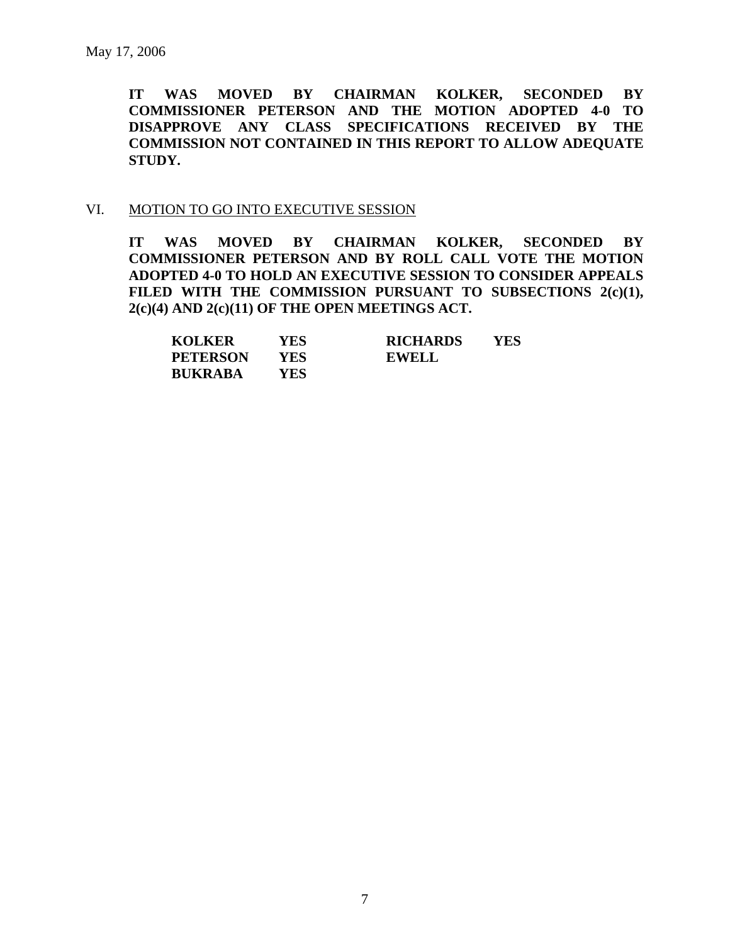**IT WAS MOVED BY CHAIRMAN KOLKER, SECONDED BY COMMISSIONER PETERSON AND THE MOTION ADOPTED 4-0 TO DISAPPROVE ANY CLASS SPECIFICATIONS RECEIVED BY THE COMMISSION NOT CONTAINED IN THIS REPORT TO ALLOW ADEQUATE STUDY.** 

#### VI. MOTION TO GO INTO EXECUTIVE SESSION

**IT WAS MOVED BY CHAIRMAN KOLKER, SECONDED BY COMMISSIONER PETERSON AND BY ROLL CALL VOTE THE MOTION ADOPTED 4-0 TO HOLD AN EXECUTIVE SESSION TO CONSIDER APPEALS**  FILED WITH THE COMMISSION PURSUANT TO SUBSECTIONS 2(c)(1), **2(c)(4) AND 2(c)(11) OF THE OPEN MEETINGS ACT.** 

| <b>KOLKER</b>   | YES | <b>RICHARDS</b> | YES |
|-----------------|-----|-----------------|-----|
| <b>PETERSON</b> | YES | <b>EWELL</b>    |     |
| <b>BUKRABA</b>  | YES |                 |     |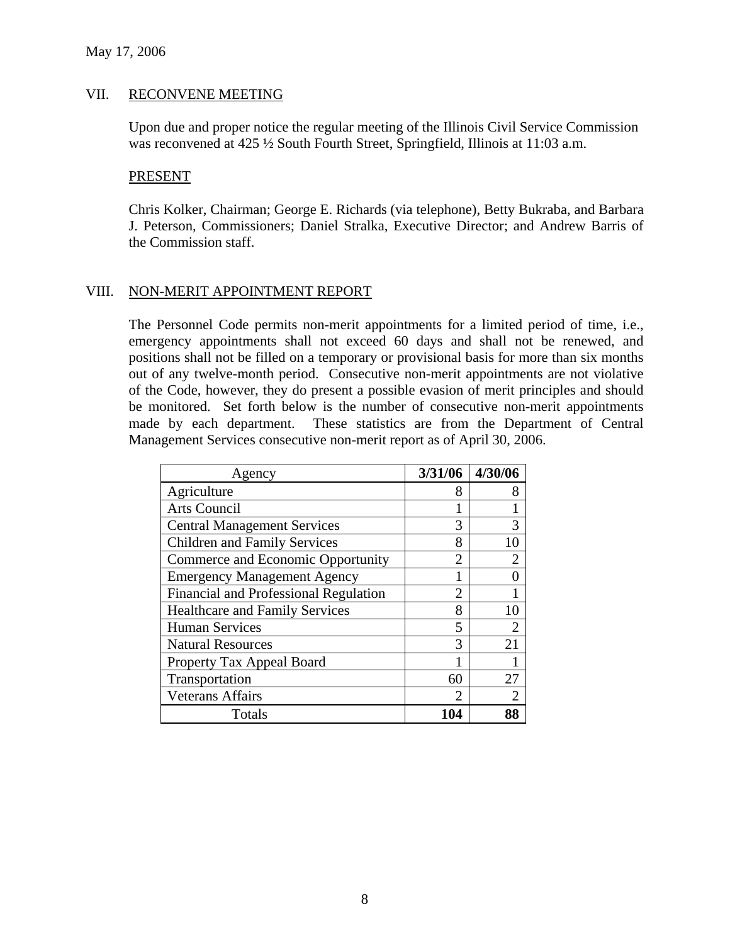#### VII. RECONVENE MEETING

Upon due and proper notice the regular meeting of the Illinois Civil Service Commission was reconvened at 425  $\frac{1}{2}$  South Fourth Street, Springfield, Illinois at 11:03 a.m.

#### PRESENT

Chris Kolker, Chairman; George E. Richards (via telephone), Betty Bukraba, and Barbara J. Peterson, Commissioners; Daniel Stralka, Executive Director; and Andrew Barris of the Commission staff.

#### VIII. NON-MERIT APPOINTMENT REPORT

The Personnel Code permits non-merit appointments for a limited period of time, i.e., emergency appointments shall not exceed 60 days and shall not be renewed, and positions shall not be filled on a temporary or provisional basis for more than six months out of any twelve-month period. Consecutive non-merit appointments are not violative of the Code, however, they do present a possible evasion of merit principles and should be monitored. Set forth below is the number of consecutive non-merit appointments made by each department. These statistics are from the Department of Central Management Services consecutive non-merit report as of April 30, 2006.

| Agency                                | 3/31/06        | 4/30/06        |
|---------------------------------------|----------------|----------------|
| Agriculture                           | 8              | 8              |
| Arts Council                          |                |                |
| <b>Central Management Services</b>    | 3              | 3              |
| <b>Children and Family Services</b>   | 8              | 10             |
| Commerce and Economic Opportunity     | $\mathfrak{D}$ | 2              |
| <b>Emergency Management Agency</b>    |                |                |
| Financial and Professional Regulation | $\mathfrak{D}$ |                |
| <b>Healthcare and Family Services</b> | 8              | 10             |
| <b>Human Services</b>                 | 5              | $\overline{2}$ |
| <b>Natural Resources</b>              | 3              | 21             |
| Property Tax Appeal Board             |                |                |
| Transportation                        | 60             | 27             |
| <b>Veterans Affairs</b>               | 2              | 2              |
| Totals                                | 104            |                |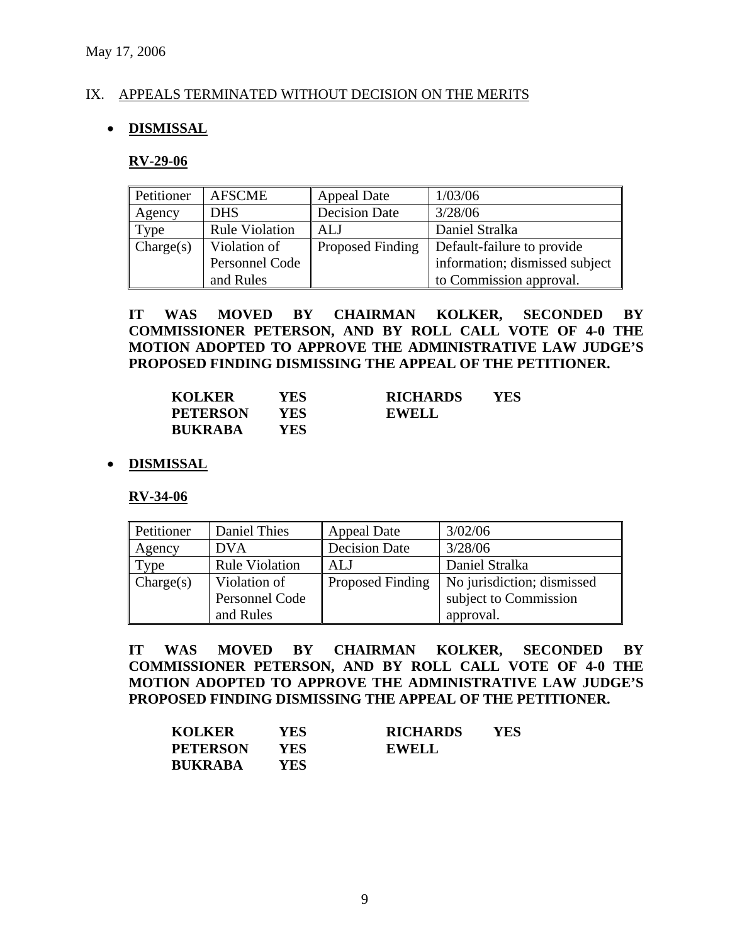#### IX. APPEALS TERMINATED WITHOUT DECISION ON THE MERITS

#### • **DISMISSAL**

#### **RV-29-06**

| Petitioner | <b>AFSCME</b>         | <b>Appeal Date</b>      | 1/03/06                        |
|------------|-----------------------|-------------------------|--------------------------------|
| Agency     | <b>DHS</b>            | <b>Decision Date</b>    | 3/28/06                        |
| Type       | <b>Rule Violation</b> | ALJ                     | Daniel Stralka                 |
| Change(s)  | Violation of          | <b>Proposed Finding</b> | Default-failure to provide     |
|            | Personnel Code        |                         | information; dismissed subject |
|            | and Rules             |                         | to Commission approval.        |

**IT WAS MOVED BY CHAIRMAN KOLKER, SECONDED BY COMMISSIONER PETERSON, AND BY ROLL CALL VOTE OF 4-0 THE MOTION ADOPTED TO APPROVE THE ADMINISTRATIVE LAW JUDGE'S PROPOSED FINDING DISMISSING THE APPEAL OF THE PETITIONER.** 

| <b>KOLKER</b>   | YES  | <b>RICHARDS</b> | YES |
|-----------------|------|-----------------|-----|
| <b>PETERSON</b> | YES. | <b>EWELL</b>    |     |
| <b>BUKRABA</b>  | YES  |                 |     |

#### • **DISMISSAL**

**RV-34-06**

| Petitioner | Daniel Thies          | <b>Appeal Date</b>   | 3/02/06                    |
|------------|-----------------------|----------------------|----------------------------|
| Agency     | <b>DVA</b>            | <b>Decision Date</b> | 3/28/06                    |
| Type       | <b>Rule Violation</b> | ALJ                  | Daniel Stralka             |
| Change(s)  | Violation of          | Proposed Finding     | No jurisdiction; dismissed |
|            | Personnel Code        |                      | subject to Commission      |
|            | and Rules             |                      | approval.                  |

**IT WAS MOVED BY CHAIRMAN KOLKER, SECONDED BY COMMISSIONER PETERSON, AND BY ROLL CALL VOTE OF 4-0 THE MOTION ADOPTED TO APPROVE THE ADMINISTRATIVE LAW JUDGE'S PROPOSED FINDING DISMISSING THE APPEAL OF THE PETITIONER.** 

| <b>KOLKER</b>   | YES | <b>RICHARDS</b> | YES |
|-----------------|-----|-----------------|-----|
| <b>PETERSON</b> | YES | EWELL           |     |
| <b>BUKRABA</b>  | YES |                 |     |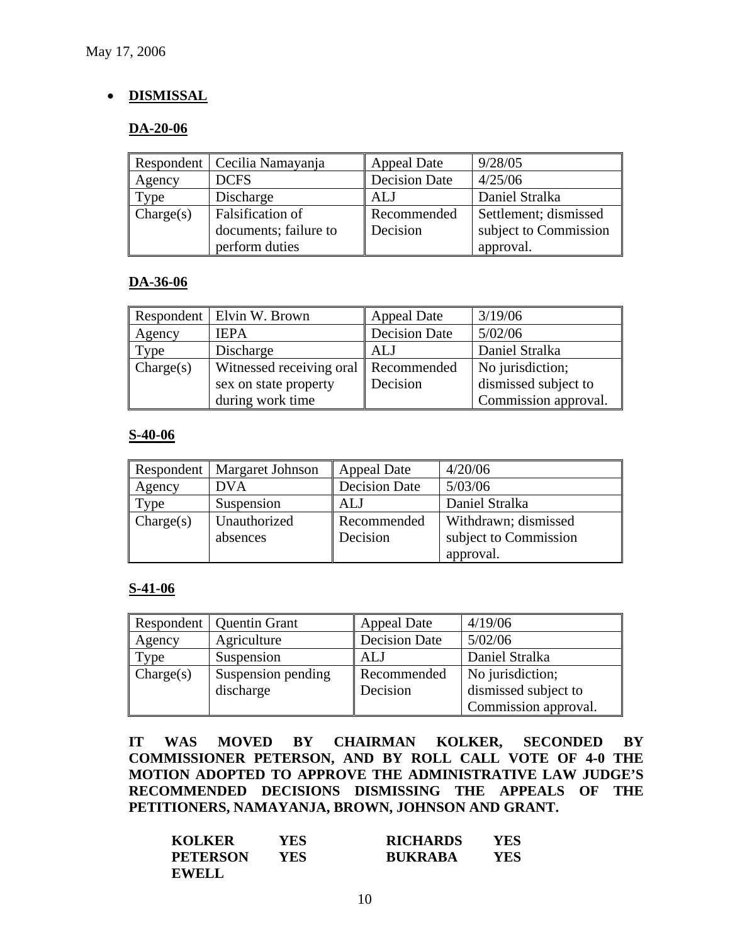### • **DISMISSAL**

#### **DA-20-06**

|           | Respondent   Cecilia Namayanja | <b>Appeal Date</b>   | 9/28/05               |
|-----------|--------------------------------|----------------------|-----------------------|
| Agency    | <b>DCFS</b>                    | <b>Decision Date</b> | 4/25/06               |
| [1]       | Discharge                      | ALJ                  | Daniel Stralka        |
| Change(s) | Falsification of               | Recommended          | Settlement; dismissed |
|           | documents; failure to          | Decision             | subject to Commission |
|           | perform duties                 |                      | approval.             |

#### **DA-36-06**

|           | Respondent   Elvin W. Brown | <b>Appeal Date</b>   | 3/19/06              |
|-----------|-----------------------------|----------------------|----------------------|
| Agency    | <b>IEPA</b>                 | <b>Decision Date</b> | 5/02/06              |
| Type      | Discharge                   | <b>ALJ</b>           | Daniel Stralka       |
| Change(s) | Witnessed receiving oral    | Recommended          | No jurisdiction;     |
|           | sex on state property       | Decision             | dismissed subject to |
|           | during work time            |                      | Commission approval. |

#### **S-40-06**

|           | Respondent   Margaret Johnson | <b>Appeal Date</b>   | 4/20/06               |
|-----------|-------------------------------|----------------------|-----------------------|
| Agency    | <b>DVA</b>                    | <b>Decision Date</b> | 5/03/06               |
| Type      | Suspension                    | ALJ                  | Daniel Stralka        |
| Change(s) | Unauthorized                  | Recommended          | Withdrawn; dismissed  |
|           | absences                      | Decision             | subject to Commission |
|           |                               |                      | approval.             |

#### **S-41-06**

|           | Respondent   Quentin Grant | <b>Appeal Date</b>   | 4/19/06              |
|-----------|----------------------------|----------------------|----------------------|
| Agency    | Agriculture                | <b>Decision Date</b> | 5/02/06              |
| Type      | Suspension                 | ALJ                  | Daniel Stralka       |
| Change(s) | Suspension pending         | Recommended          | No jurisdiction;     |
|           | discharge                  | Decision             | dismissed subject to |
|           |                            |                      | Commission approval. |

**IT WAS MOVED BY CHAIRMAN KOLKER, SECONDED BY COMMISSIONER PETERSON, AND BY ROLL CALL VOTE OF 4-0 THE MOTION ADOPTED TO APPROVE THE ADMINISTRATIVE LAW JUDGE'S RECOMMENDED DECISIONS DISMISSING THE APPEALS OF THE PETITIONERS, NAMAYANJA, BROWN, JOHNSON AND GRANT.** 

| <b>KOLKER</b>   | YES | <b>RICHARDS</b> | YES |
|-----------------|-----|-----------------|-----|
| <b>PETERSON</b> | YES | <b>BUKRABA</b>  | YES |
| EWELL           |     |                 |     |